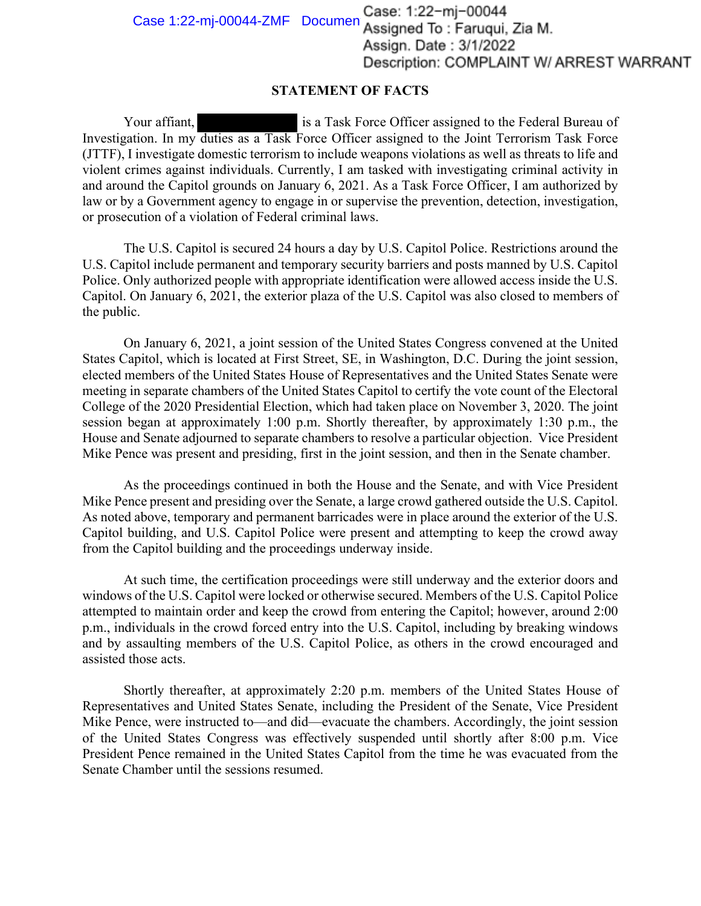Case 1:22-mj-00044-ZMF Documen Case: 1:22-mj-00044<br>Assigned To: Faruqui, Zia M. Assign. Date: 3/1/2022 Description: COMPLAINT W/ ARREST WARRANT

## **STATEMENT OF FACTS**

Your affiant, is a Task Force Officer assigned to the Federal Bureau of Investigation. In my duties as a Task Force Officer assigned to the Joint Terrorism Task Force (JTTF), I investigate domestic terrorism to include weapons violations as well as threats to life and violent crimes against individuals. Currently, I am tasked with investigating criminal activity in and around the Capitol grounds on January 6, 2021. As a Task Force Officer, I am authorized by law or by a Government agency to engage in or supervise the prevention, detection, investigation, or prosecution of a violation of Federal criminal laws.

The U.S. Capitol is secured 24 hours a day by U.S. Capitol Police. Restrictions around the U.S. Capitol include permanent and temporary security barriers and posts manned by U.S. Capitol Police. Only authorized people with appropriate identification were allowed access inside the U.S. Capitol. On January 6, 2021, the exterior plaza of the U.S. Capitol was also closed to members of the public.

On January 6, 2021, a joint session of the United States Congress convened at the United States Capitol, which is located at First Street, SE, in Washington, D.C. During the joint session, elected members of the United States House of Representatives and the United States Senate were meeting in separate chambers of the United States Capitol to certify the vote count of the Electoral College of the 2020 Presidential Election, which had taken place on November 3, 2020. The joint session began at approximately 1:00 p.m. Shortly thereafter, by approximately 1:30 p.m., the House and Senate adjourned to separate chambers to resolve a particular objection. Vice President Mike Pence was present and presiding, first in the joint session, and then in the Senate chamber.

As the proceedings continued in both the House and the Senate, and with Vice President Mike Pence present and presiding over the Senate, a large crowd gathered outside the U.S. Capitol. As noted above, temporary and permanent barricades were in place around the exterior of the U.S. Capitol building, and U.S. Capitol Police were present and attempting to keep the crowd away from the Capitol building and the proceedings underway inside.

At such time, the certification proceedings were still underway and the exterior doors and windows of the U.S. Capitol were locked or otherwise secured. Members of the U.S. Capitol Police attempted to maintain order and keep the crowd from entering the Capitol; however, around 2:00 p.m., individuals in the crowd forced entry into the U.S. Capitol, including by breaking windows and by assaulting members of the U.S. Capitol Police, as others in the crowd encouraged and assisted those acts.

Shortly thereafter, at approximately 2:20 p.m. members of the United States House of Representatives and United States Senate, including the President of the Senate, Vice President Mike Pence, were instructed to—and did—evacuate the chambers. Accordingly, the joint session of the United States Congress was effectively suspended until shortly after 8:00 p.m. Vice President Pence remained in the United States Capitol from the time he was evacuated from the Senate Chamber until the sessions resumed.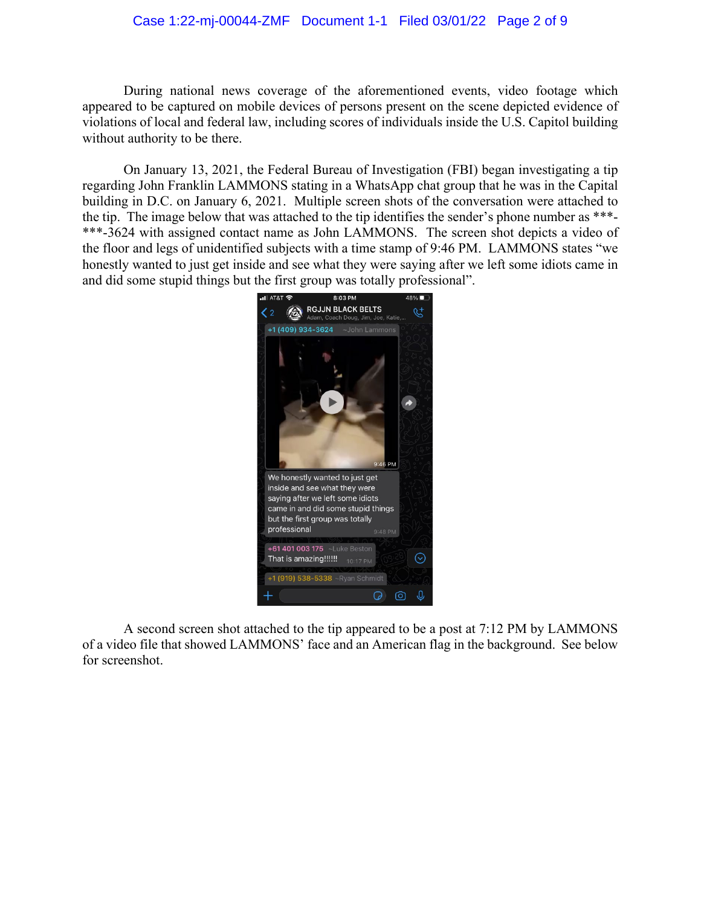## Case 1:22-mj-00044-ZMF Document 1-1 Filed 03/01/22 Page 2 of 9

During national news coverage of the aforementioned events, video footage which appeared to be captured on mobile devices of persons present on the scene depicted evidence of violations of local and federal law, including scores of individuals inside the U.S. Capitol building without authority to be there.

On January 13, 2021, the Federal Bureau of Investigation (FBI) began investigating a tip regarding John Franklin LAMMONS stating in a WhatsApp chat group that he was in the Capital building in D.C. on January 6, 2021. Multiple screen shots of the conversation were attached to the tip. The image below that was attached to the tip identifies the sender's phone number as \*\*\*- \*\*\*-3624 with assigned contact name as John LAMMONS. The screen shot depicts a video of the floor and legs of unidentified subjects with a time stamp of 9:46 PM. LAMMONS states "we honestly wanted to just get inside and see what they were saying after we left some idiots came in and did some stupid things but the first group was totally professional".



A second screen shot attached to the tip appeared to be a post at 7:12 PM by LAMMONS of a video file that showed LAMMONS' face and an American flag in the background. See below for screenshot.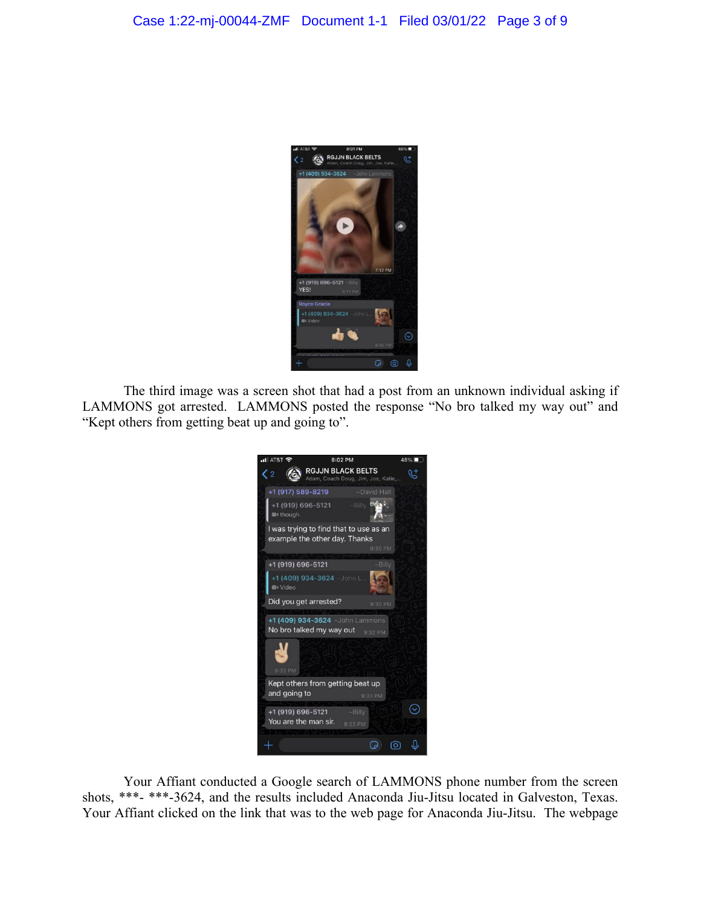

The third image was a screen shot that had a post from an unknown individual asking if LAMMONS got arrested. LAMMONS posted the response "No bro talked my way out" and "Kept others from getting beat up and going to".



Your Affiant conducted a Google search of LAMMONS phone number from the screen shots, \*\*\*- \*\*\*-3624, and the results included Anaconda Jiu-Jitsu located in Galveston, Texas. Your Affiant clicked on the link that was to the web page for Anaconda Jiu-Jitsu. The webpage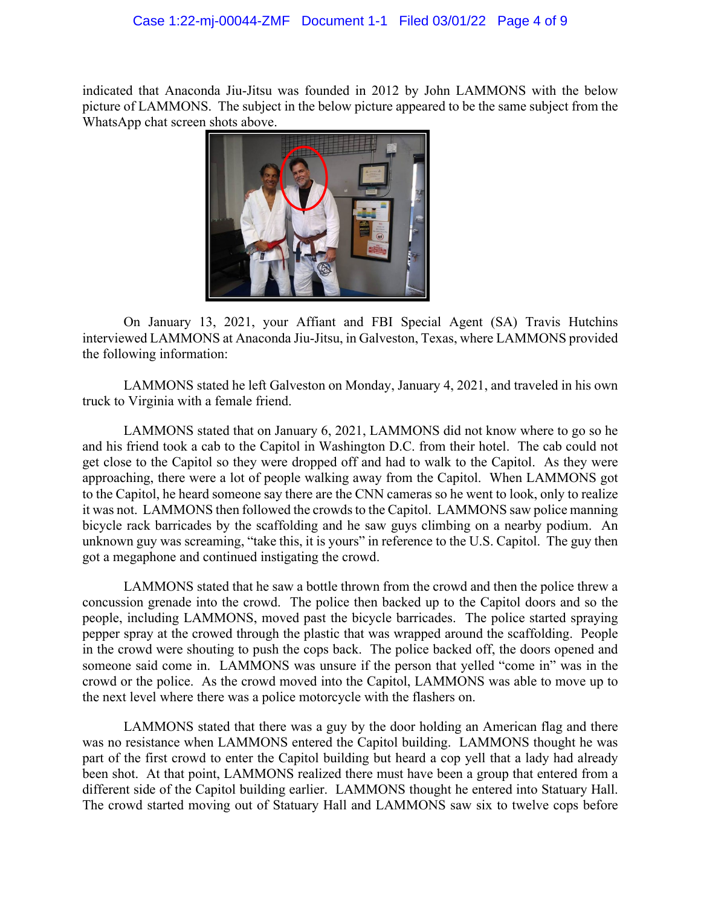indicated that Anaconda Jiu-Jitsu was founded in 2012 by John LAMMONS with the below picture of LAMMONS. The subject in the below picture appeared to be the same subject from the WhatsApp chat screen shots above.



On January 13, 2021, your Affiant and FBI Special Agent (SA) Travis Hutchins interviewed LAMMONS at Anaconda Jiu-Jitsu, in Galveston, Texas, where LAMMONS provided the following information:

LAMMONS stated he left Galveston on Monday, January 4, 2021, and traveled in his own truck to Virginia with a female friend.

LAMMONS stated that on January 6, 2021, LAMMONS did not know where to go so he and his friend took a cab to the Capitol in Washington D.C. from their hotel. The cab could not get close to the Capitol so they were dropped off and had to walk to the Capitol. As they were approaching, there were a lot of people walking away from the Capitol. When LAMMONS got to the Capitol, he heard someone say there are the CNN cameras so he went to look, only to realize it was not. LAMMONS then followed the crowds to the Capitol. LAMMONS saw police manning bicycle rack barricades by the scaffolding and he saw guys climbing on a nearby podium. An unknown guy was screaming, "take this, it is yours" in reference to the U.S. Capitol. The guy then got a megaphone and continued instigating the crowd.

LAMMONS stated that he saw a bottle thrown from the crowd and then the police threw a concussion grenade into the crowd. The police then backed up to the Capitol doors and so the people, including LAMMONS, moved past the bicycle barricades. The police started spraying pepper spray at the crowed through the plastic that was wrapped around the scaffolding. People in the crowd were shouting to push the cops back. The police backed off, the doors opened and someone said come in. LAMMONS was unsure if the person that yelled "come in" was in the crowd or the police. As the crowd moved into the Capitol, LAMMONS was able to move up to the next level where there was a police motorcycle with the flashers on.

LAMMONS stated that there was a guy by the door holding an American flag and there was no resistance when LAMMONS entered the Capitol building. LAMMONS thought he was part of the first crowd to enter the Capitol building but heard a cop yell that a lady had already been shot. At that point, LAMMONS realized there must have been a group that entered from a different side of the Capitol building earlier. LAMMONS thought he entered into Statuary Hall. The crowd started moving out of Statuary Hall and LAMMONS saw six to twelve cops before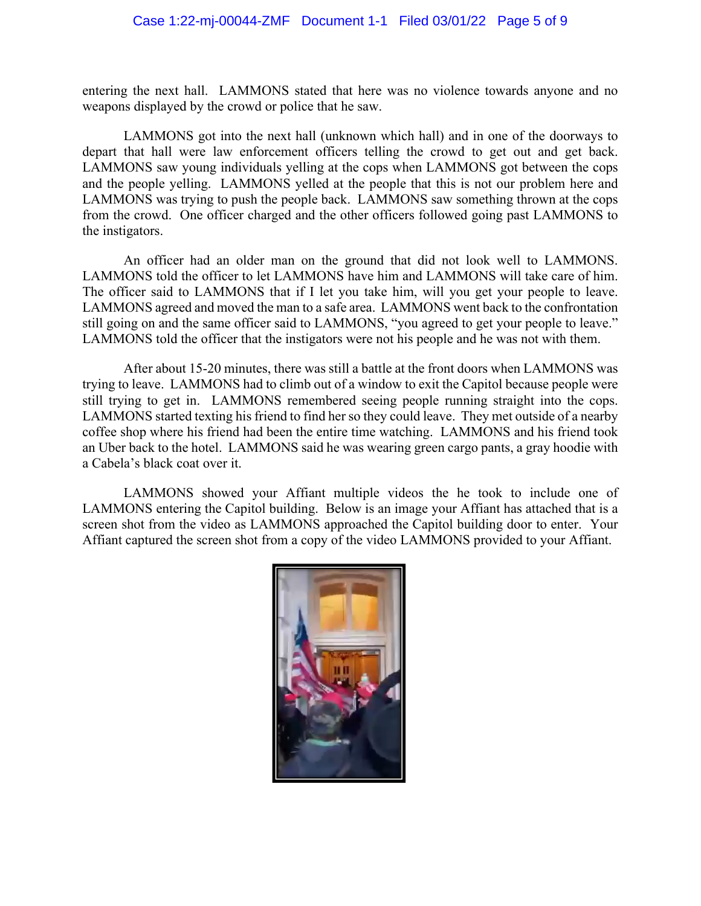entering the next hall. LAMMONS stated that here was no violence towards anyone and no weapons displayed by the crowd or police that he saw.

LAMMONS got into the next hall (unknown which hall) and in one of the doorways to depart that hall were law enforcement officers telling the crowd to get out and get back. LAMMONS saw young individuals yelling at the cops when LAMMONS got between the cops and the people yelling. LAMMONS yelled at the people that this is not our problem here and LAMMONS was trying to push the people back. LAMMONS saw something thrown at the cops from the crowd. One officer charged and the other officers followed going past LAMMONS to the instigators.

An officer had an older man on the ground that did not look well to LAMMONS. LAMMONS told the officer to let LAMMONS have him and LAMMONS will take care of him. The officer said to LAMMONS that if I let you take him, will you get your people to leave. LAMMONS agreed and moved the man to a safe area. LAMMONS went back to the confrontation still going on and the same officer said to LAMMONS, "you agreed to get your people to leave." LAMMONS told the officer that the instigators were not his people and he was not with them.

After about 15-20 minutes, there was still a battle at the front doors when LAMMONS was trying to leave. LAMMONS had to climb out of a window to exit the Capitol because people were still trying to get in. LAMMONS remembered seeing people running straight into the cops. LAMMONS started texting his friend to find her so they could leave. They met outside of a nearby coffee shop where his friend had been the entire time watching. LAMMONS and his friend took an Uber back to the hotel. LAMMONS said he was wearing green cargo pants, a gray hoodie with a Cabela's black coat over it.

LAMMONS showed your Affiant multiple videos the he took to include one of LAMMONS entering the Capitol building. Below is an image your Affiant has attached that is a screen shot from the video as LAMMONS approached the Capitol building door to enter. Your Affiant captured the screen shot from a copy of the video LAMMONS provided to your Affiant.

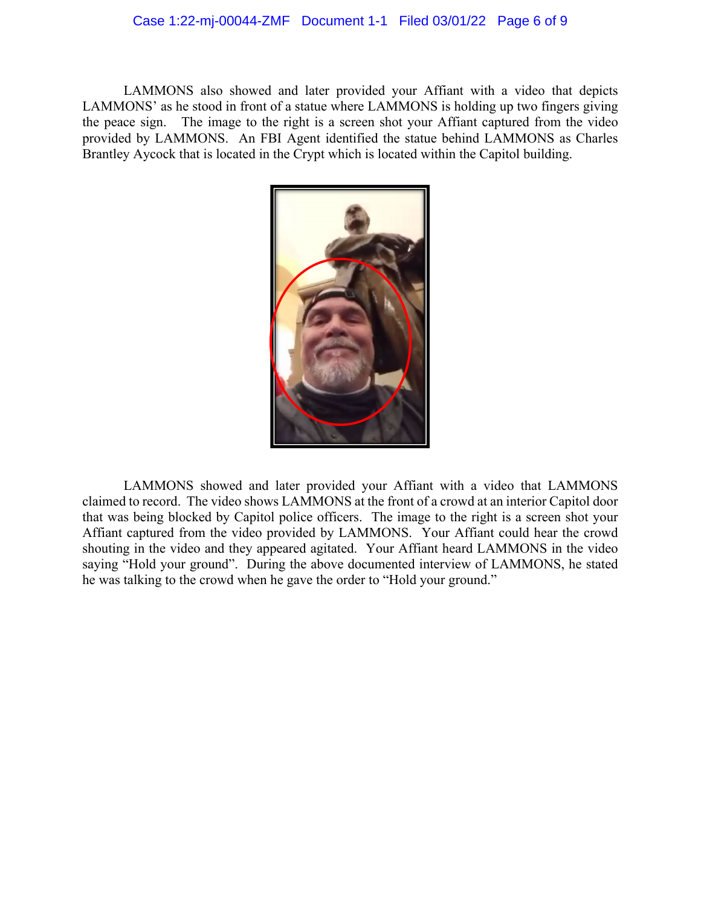## Case 1:22-mj-00044-ZMF Document 1-1 Filed 03/01/22 Page 6 of 9

LAMMONS also showed and later provided your Affiant with a video that depicts LAMMONS' as he stood in front of a statue where LAMMONS is holding up two fingers giving the peace sign. The image to the right is a screen shot your Affiant captured from the video provided by LAMMONS. An FBI Agent identified the statue behind LAMMONS as Charles Brantley Aycock that is located in the Crypt which is located within the Capitol building.



LAMMONS showed and later provided your Affiant with a video that LAMMONS claimed to record. The video shows LAMMONS at the front of a crowd at an interior Capitol door that was being blocked by Capitol police officers. The image to the right is a screen shot your Affiant captured from the video provided by LAMMONS. Your Affiant could hear the crowd shouting in the video and they appeared agitated. Your Affiant heard LAMMONS in the video saying "Hold your ground". During the above documented interview of LAMMONS, he stated he was talking to the crowd when he gave the order to "Hold your ground."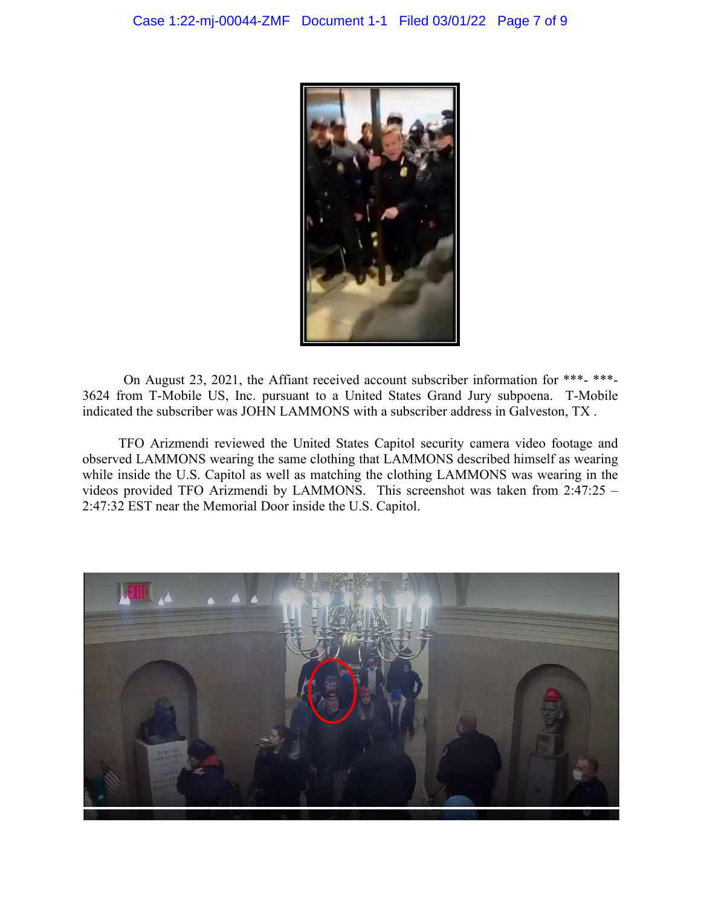

On August 23, 2021, the Affiant received account subscriber information for \*\*\*- \*\*\*- 3624 from T-Mobile US, Inc. pursuant to a United States Grand Jury subpoena. T-Mobile indicated the subscriber was JOHN LAMMONS with a subscriber address in Galveston, TX .

TFO Arizmendi reviewed the United States Capitol security camera video footage and observed LAMMONS wearing the same clothing that LAMMONS described himself as wearing while inside the U.S. Capitol as well as matching the clothing LAMMONS was wearing in the videos provided TFO Arizmendi by LAMMONS. This screenshot was taken from 2:47:25 – 2:47:32 EST near the Memorial Door inside the U.S. Capitol.

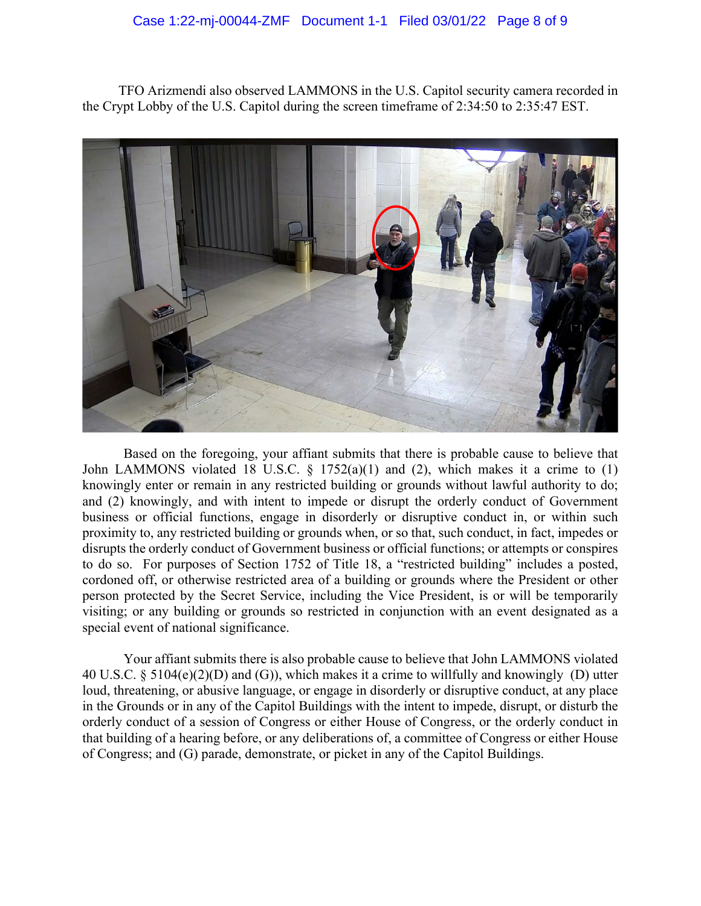## Case 1:22-mj-00044-ZMF Document 1-1 Filed 03/01/22 Page 8 of 9

TFO Arizmendi also observed LAMMONS in the U.S. Capitol security camera recorded in the Crypt Lobby of the U.S. Capitol during the screen timeframe of 2:34:50 to 2:35:47 EST.



Based on the foregoing, your affiant submits that there is probable cause to believe that John LAMMONS violated 18 U.S.C.  $\S$  1752(a)(1) and (2), which makes it a crime to (1) knowingly enter or remain in any restricted building or grounds without lawful authority to do; and (2) knowingly, and with intent to impede or disrupt the orderly conduct of Government business or official functions, engage in disorderly or disruptive conduct in, or within such proximity to, any restricted building or grounds when, or so that, such conduct, in fact, impedes or disrupts the orderly conduct of Government business or official functions; or attempts or conspires to do so. For purposes of Section 1752 of Title 18, a "restricted building" includes a posted, cordoned off, or otherwise restricted area of a building or grounds where the President or other person protected by the Secret Service, including the Vice President, is or will be temporarily visiting; or any building or grounds so restricted in conjunction with an event designated as a special event of national significance.

Your affiant submits there is also probable cause to believe that John LAMMONS violated 40 U.S.C. § 5104(e)(2)(D) and (G)), which makes it a crime to willfully and knowingly (D) utter loud, threatening, or abusive language, or engage in disorderly or disruptive conduct, at any place in the Grounds or in any of the [Capitol Buildings](https://www.law.cornell.edu/definitions/uscode.php?width=840&height=800&iframe=true&def_id=40-USC-1874457209-1129834521&term_occur=999&term_src=title:40:subtitle:II:part:B:chapter:51:section:5104) with the intent to impede, disrupt, or disturb the orderly conduct of a session of Congress or either House of Congress, or the orderly conduct in that building of a hearing before, or any deliberations of, a committee of Congress or either House of Congress; and (G) parade, demonstrate, or picket in any of the Capitol Buildings.